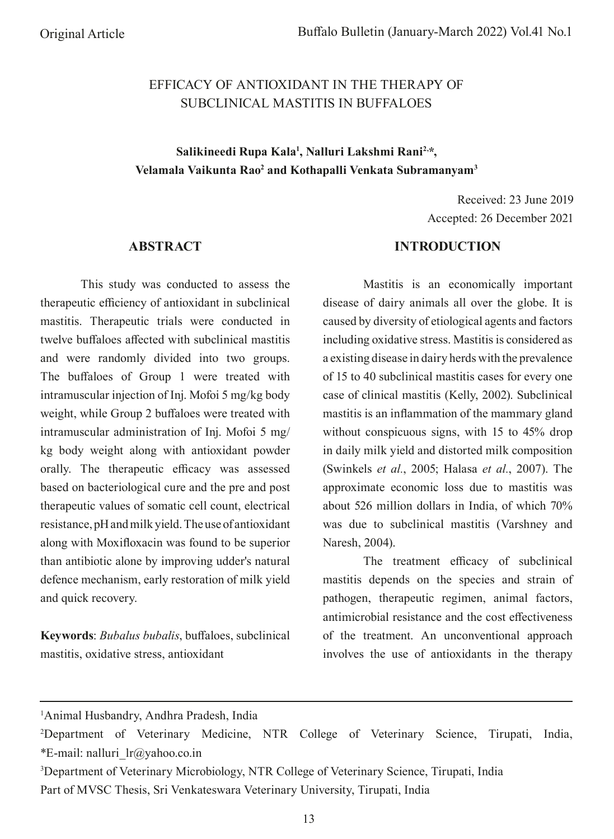# EFFICACY OF ANTIOXIDANT IN THE THERAPY OF SUBCLINICAL MASTITIS IN BUFFALOES

# Salikineedi Rupa Kala<sup>1</sup>, Nalluri Lakshmi Rani<sup>2,\*</sup>, **Velamala Vaikunta Rao2 and Kothapalli Venkata Subramanyam3**

Received: 23 June 2019 Accepted: 26 December 2021

### **ABSTRACT**

This study was conducted to assess the therapeutic efficiency of antioxidant in subclinical mastitis. Therapeutic trials were conducted in twelve bufaloes afected with subclinical mastitis and were randomly divided into two groups. The bufaloes of Group 1 were treated with intramuscular injection of Inj. Mofoi 5 mg/kg body weight, while Group 2 bufaloes were treated with intramuscular administration of Inj. Mofoi 5 mg/ kg body weight along with antioxidant powder orally. The therapeutic efficacy was assessed based on bacteriological cure and the pre and post therapeutic values of somatic cell count, electrical resistance, pH and milk yield. The use of antioxidant along with Moxifoxacin was found to be superior than antibiotic alone by improving udder's natural defence mechanism, early restoration of milk yield and quick recovery.

**Keywords**: *Bubalus bubalis*, bufaloes, subclinical mastitis, oxidative stress, antioxidant

## **INTRODUCTION**

Mastitis is an economically important disease of dairy animals all over the globe. It is caused by diversity of etiological agents and factors including oxidative stress. Mastitis is considered as a existing disease in dairy herds with the prevalence of 15 to 40 subclinical mastitis cases for every one case of clinical mastitis (Kelly, 2002). Subclinical mastitis is an infammation of the mammary gland without conspicuous signs, with 15 to 45% drop in daily milk yield and distorted milk composition (Swinkels *et al.*, 2005; Halasa *et al.*, 2007). The approximate economic loss due to mastitis was about 526 million dollars in India, of which 70% was due to subclinical mastitis (Varshney and Naresh, 2004).

The treatment efficacy of subclinical mastitis depends on the species and strain of pathogen, therapeutic regimen, animal factors, antimicrobial resistance and the cost efectiveness of the treatment. An unconventional approach involves the use of antioxidants in the therapy

1 Animal Husbandry, Andhra Pradesh, India

3 Department of Veterinary Microbiology, NTR College of Veterinary Science, Tirupati, India Part of MVSC Thesis, Sri Venkateswara Veterinary University, Tirupati, India

<sup>2</sup> Department of Veterinary Medicine, NTR College of Veterinary Science, Tirupati, India, \*E-mail: nalluri  $lr@yahoo.co.in$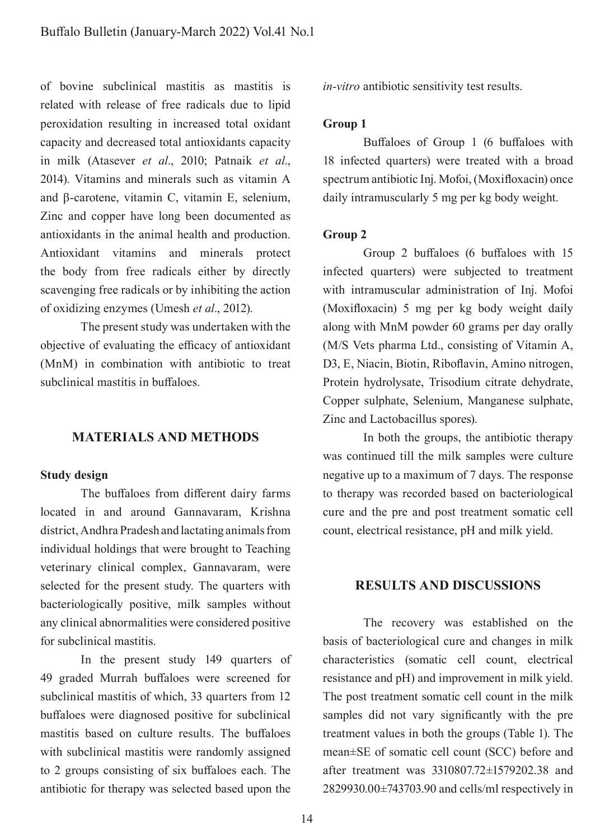of bovine subclinical mastitis as mastitis is related with release of free radicals due to lipid peroxidation resulting in increased total oxidant capacity and decreased total antioxidants capacity in milk (Atasever *et al*., 2010; Patnaik *et al*., 2014). Vitamins and minerals such as vitamin A and β-carotene, vitamin C, vitamin E, selenium, Zinc and copper have long been documented as antioxidants in the animal health and production. Antioxidant vitamins and minerals protect the body from free radicals either by directly scavenging free radicals or by inhibiting the action of oxidizing enzymes (Umesh *et al*., 2012).

The present study was undertaken with the objective of evaluating the efficacy of antioxidant (MnM) in combination with antibiotic to treat subclinical mastitis in bufaloes.

## **MATERIALS AND METHODS**

#### **Study design**

The bufaloes from diferent dairy farms located in and around Gannavaram, Krishna district, Andhra Pradesh and lactating animals from individual holdings that were brought to Teaching veterinary clinical complex, Gannavaram, were selected for the present study. The quarters with bacteriologically positive, milk samples without any clinical abnormalities were considered positive for subclinical mastitis.

In the present study 149 quarters of 49 graded Murrah bufaloes were screened for subclinical mastitis of which, 33 quarters from 12 bufaloes were diagnosed positive for subclinical mastitis based on culture results. The bufaloes with subclinical mastitis were randomly assigned to 2 groups consisting of six bufaloes each. The antibiotic for therapy was selected based upon the *in-vitro* antibiotic sensitivity test results.

### **Group 1**

Bufaloes of Group 1 (6 bufaloes with 18 infected quarters) were treated with a broad spectrum antibiotic Inj. Mofoi, (Moxifoxacin) once daily intramuscularly 5 mg per kg body weight.

#### **Group 2**

Group 2 bufaloes (6 bufaloes with 15 infected quarters) were subjected to treatment with intramuscular administration of Inj. Mofoi (Moxifoxacin) 5 mg per kg body weight daily along with MnM powder 60 grams per day orally (M/S Vets pharma Ltd., consisting of Vitamin A, D3, E, Niacin, Biotin, Ribofavin, Amino nitrogen, Protein hydrolysate, Trisodium citrate dehydrate, Copper sulphate, Selenium, Manganese sulphate, Zinc and Lactobacillus spores).

In both the groups, the antibiotic therapy was continued till the milk samples were culture negative up to a maximum of 7 days. The response to therapy was recorded based on bacteriological cure and the pre and post treatment somatic cell count, electrical resistance, pH and milk yield.

## **RESULTS AND DISCUSSIONS**

The recovery was established on the basis of bacteriological cure and changes in milk characteristics (somatic cell count, electrical resistance and pH) and improvement in milk yield. The post treatment somatic cell count in the milk samples did not vary signifcantly with the pre treatment values in both the groups (Table 1). The mean±SE of somatic cell count (SCC) before and after treatment was 3310807.72±1579202.38 and 2829930.00±743703.90 and cells/ml respectively in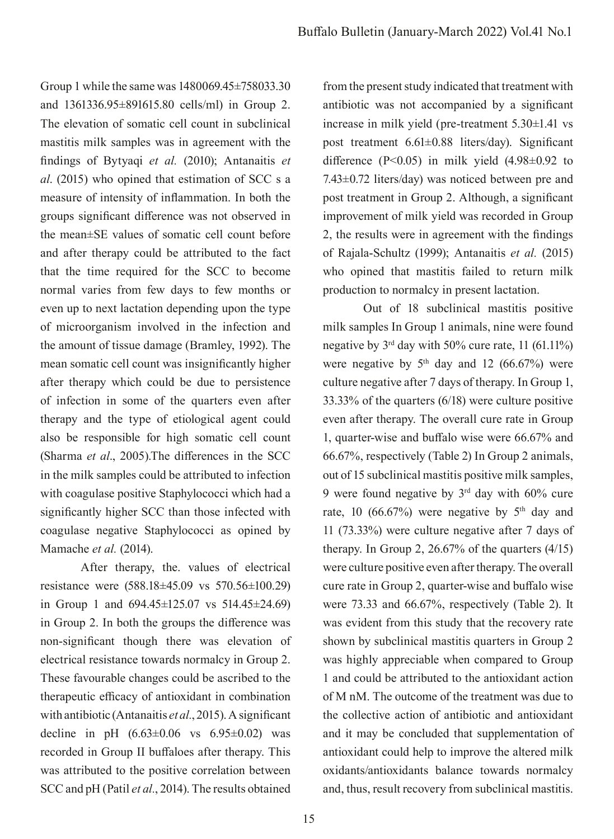Group 1 while the same was 1480069.45±758033.30 and 1361336.95±891615.80 cells/ml) in Group 2. The elevation of somatic cell count in subclinical mastitis milk samples was in agreement with the fndings of Bytyaqi *et al.* (2010); Antanaitis *et al*. (2015) who opined that estimation of SCC s a measure of intensity of infammation. In both the groups signifcant diference was not observed in the mean±SE values of somatic cell count before and after therapy could be attributed to the fact that the time required for the SCC to become normal varies from few days to few months or even up to next lactation depending upon the type of microorganism involved in the infection and the amount of tissue damage (Bramley, 1992). The mean somatic cell count was insignifcantly higher after therapy which could be due to persistence of infection in some of the quarters even after therapy and the type of etiological agent could also be responsible for high somatic cell count (Sharma *et al*., 2005).The diferences in the SCC in the milk samples could be attributed to infection with coagulase positive Staphylococci which had a signifcantly higher SCC than those infected with coagulase negative Staphylococci as opined by Mamache *et al.* (2014).

After therapy, the. values of electrical resistance were (588.18±45.09 vs 570.56±100.29) in Group 1 and 694.45±125.07 vs 514.45±24.69) in Group 2. In both the groups the diference was non-signifcant though there was elevation of electrical resistance towards normalcy in Group 2. These favourable changes could be ascribed to the therapeutic efficacy of antioxidant in combination with antibiotic (Antanaitis *et al.*, 2015). A significant decline in pH  $(6.63 \pm 0.06 \text{ vs } 6.95 \pm 0.02)$  was recorded in Group II bufaloes after therapy. This was attributed to the positive correlation between SCC and pH (Patil *et al.*, 2014). The results obtained from the present study indicated that treatment with antibiotic was not accompanied by a signifcant increase in milk yield (pre-treatment 5.30±1.41 vs post treatment 6.61±0.88 liters/day). Signifcant difference ( $P<0.05$ ) in milk yield (4.98 $\pm 0.92$  to 7.43±0.72 liters/day) was noticed between pre and post treatment in Group 2. Although, a signifcant improvement of milk yield was recorded in Group 2, the results were in agreement with the fndings of Rajala-Schultz (1999); Antanaitis *et al.* (2015) who opined that mastitis failed to return milk production to normalcy in present lactation.

Out of 18 subclinical mastitis positive milk samples In Group 1 animals, nine were found negative by  $3<sup>rd</sup>$  day with 50% cure rate, 11 (61.11%) were negative by  $5<sup>th</sup>$  day and 12 (66.67%) were culture negative after 7 days of therapy. In Group 1, 33.33% of the quarters (6/18) were culture positive even after therapy. The overall cure rate in Group 1, quarter-wise and bufalo wise were 66.67% and 66.67%, respectively (Table 2) In Group 2 animals, out of 15 subclinical mastitis positive milk samples, 9 were found negative by  $3<sup>rd</sup>$  day with 60% cure rate, 10 (66.67%) were negative by  $5<sup>th</sup>$  day and 11 (73.33%) were culture negative after 7 days of therapy. In Group 2,  $26.67\%$  of the quarters  $(4/15)$ were culture positive even after therapy. The overall cure rate in Group 2, quarter-wise and bufalo wise were 73.33 and 66.67%, respectively (Table 2). It was evident from this study that the recovery rate shown by subclinical mastitis quarters in Group 2 was highly appreciable when compared to Group 1 and could be attributed to the antioxidant action of M nM. The outcome of the treatment was due to the collective action of antibiotic and antioxidant and it may be concluded that supplementation of antioxidant could help to improve the altered milk oxidants/antioxidants balance towards normalcy and, thus, result recovery from subclinical mastitis.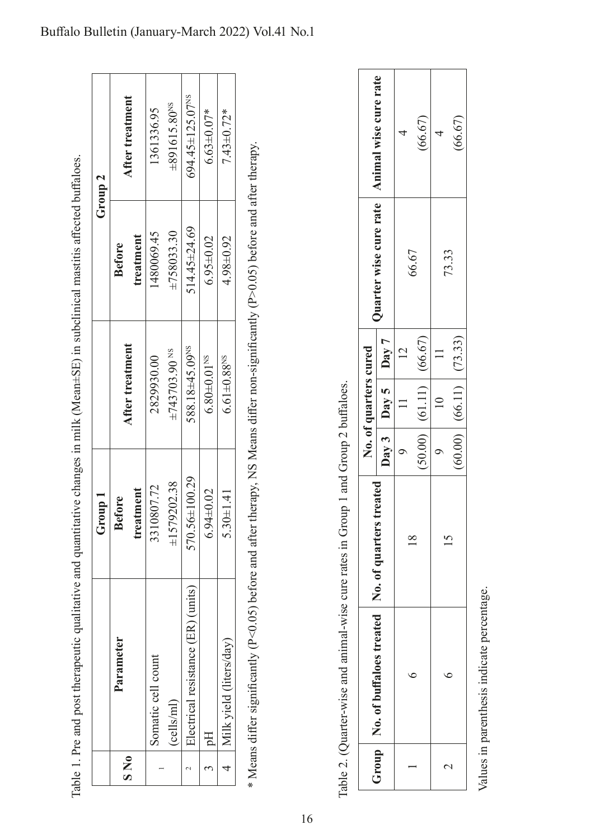|                    | After treatment |           | 1361336.95         | $\pm 891615.80^{NS}$          | 594.45±125.07 <sup>NS</sup>        | $6.63 \pm 0.07*$              | $7.43 \pm 0.72*$              |
|--------------------|-----------------|-----------|--------------------|-------------------------------|------------------------------------|-------------------------------|-------------------------------|
| Group <sub>2</sub> | <b>Before</b>   | treatment | 480069.45          | ±758033.30                    | $514.45 \pm 24.69$                 | $6.95 \pm 0.02$               | $4.98 \pm 0.92$               |
|                    | After treatment |           | 2829930.00         | $\pm 743703.90$ <sup>NS</sup> | 588.18±45.09NS                     | $6.80 \pm 0.01$ <sup>NS</sup> | $6.61 \pm 0.88$ <sup>NS</sup> |
| Group 1            | <b>Before</b>   | treatment | 3310807.72         | $\pm 1579202.38$              | 570.56±100.29                      | $6.94 \pm 0.02$               | $5.30 \pm 1.41$               |
|                    | Parameter       |           | Somatic cell count | (cells/ml)                    | Electrical resistance (ER) (units) | $\frac{1}{2}$                 | 4   Milk yield (liters/day)   |
|                    | $S\ N_0$        |           |                    |                               |                                    |                               |                               |

Table 1. Pre and post therapeutic qualitative and quantitative changes in milk (Mean±SE) in subclinical mastitis affected buffaloes. Table 1. Pre and post therapeutic qualitative and quantitative changes in milk (Mean±SE) in subclinical mastitis afected bufaloes.

\* Means differ significantly (P<0.05) before and after therapy, NS Means differ non-significantly (P>0.05) before and after therapy. \* Means difer signifcantly (P<0.05) before and after therapy, NS Means difer non-signifcantly (P>0.05) before and after therapy.

| Î<br>I<br>: : :<br>l                                                                                                                                                                                                          |
|-------------------------------------------------------------------------------------------------------------------------------------------------------------------------------------------------------------------------------|
|                                                                                                                                                                                                                               |
| ł<br>י<br>ו                                                                                                                                                                                                                   |
| ĺ                                                                                                                                                                                                                             |
| rich I offered in the factor desired desired in the I offered in the I offered in the I offered that the factor of the I offered that the I offered that it is a factor of the I offered that it is a factor of the I offered |
|                                                                                                                                                                                                                               |
|                                                                                                                                                                                                                               |
| ֖֖֖֖֖֖֖֧ׅ֧֖֖֖֖֧֪֪֪֧֖֚֚֚֚֚֚֚֚֚֚֚֚֚֚֚֚֚֚֚֚֚֚֚֚֚֚֚֚֚֚֬֝֝֬֝֓֞֝֬֞                                                                                                                                                                  |
|                                                                                                                                                                                                                               |
| i<br>Sistema                                                                                                                                                                                                                  |
| i,                                                                                                                                                                                                                            |
|                                                                                                                                                                                                                               |
|                                                                                                                                                                                                                               |
|                                                                                                                                                                                                                               |
|                                                                                                                                                                                                                               |
| i                                                                                                                                                                                                                             |
|                                                                                                                                                                                                                               |
| l<br>f<br>į                                                                                                                                                                                                                   |

|                  | Group   No. of buffaloes treated   No. of |                  | No. of quarters cured         | Quarter wise cure rate   Animal wise cure rate |         |
|------------------|-------------------------------------------|------------------|-------------------------------|------------------------------------------------|---------|
|                  |                                           | quarters treated | Day 3   Day 5   Day 7         |                                                |         |
|                  |                                           |                  |                               |                                                |         |
|                  |                                           |                  | (50.00)   (61.11)   (66.67)   | 66.67                                          | (66.67) |
|                  |                                           |                  |                               |                                                |         |
| $\mathrel{\sim}$ |                                           |                  | $(60.00)$ $(66.11)$ $(73.33)$ | 73.33                                          | (66.67) |

Values in parenthesis indicate percentage. Values in parenthesis indicate percentage.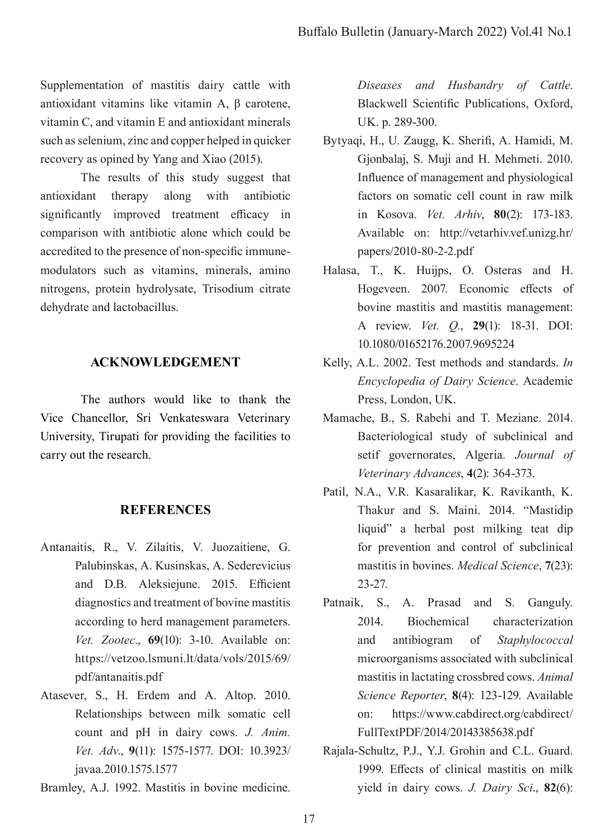Supplementation of mastitis dairy cattle with antioxidant vitamins like vitamin A, β carotene, vitamin C, and vitamin E and antioxidant minerals such as selenium, zinc and copper helped in quicker recovery as opined by Yang and Xiao (2015).

The results of this study suggest that antioxidant therapy along with antibiotic significantly improved treatment efficacy in comparison with antibiotic alone which could be accredited to the presence of non-specifc immunemodulators such as vitamins, minerals, amino nitrogens, protein hydrolysate, Trisodium citrate dehydrate and lactobacillus.

## **ACKNOWLEDGEMENT**

The authors would like to thank the Vice Chancellor, Sri Venkateswara Veterinary University, Tirupati for providing the facilities to carry out the research.

## **REFERENCES**

- Antanaitis, R., V. Zilaitis, V. Juozaitiene, G. Palubinskas, A. Kusinskas, A. Sederevicius and D.B. Aleksiejune. 2015. Efficient diagnostics and treatment of bovine mastitis according to herd management parameters. *Vet. Zootec*., **69**(10): 3-10. Available on: https://vetzoo.lsmuni.lt/data/vols/2015/69/ pdf/antanaitis.pdf
- Atasever, S., H. Erdem and A. Altop. 2010. Relationships between milk somatic cell count and pH in dairy cows. *J. Anim. Vet. Adv*., **9**(11): 1575-1577. DOI: 10.3923/ javaa.2010.1575.1577

Bramley, A.J. 1992. Mastitis in bovine medicine.

*Diseases and Husbandry of Cattle*. Blackwell Scientifc Publications, Oxford, UK. p. 289-300.

- Bytyaqi, H., U. Zaugg, K. Sherif, A. Hamidi, M. Gjonbalaj, S. Muji and H. Mehmeti. 2010. Infuence of management and physiological factors on somatic cell count in raw milk in Kosova. *Vet. Arhiv*, **80**(2): 173-183. Available on: http://vetarhiv.vef.unizg.hr/ papers/2010-80-2-2.pdf
- Halasa, T., K. Huijps, O. Osteras and H. Hogeveen. 2007. Economic efects of bovine mastitis and mastitis management: A review. *Vet. Q.*, **29**(1): 18-31. DOI: 10.1080/01652176.2007.9695224
- Kelly, A.L. 2002. Test methods and standards. *In Encyclopedia of Dairy Science*. Academic Press, London, UK.
- Mamache, B., S. Rabehi and T. Meziane. 2014. Bacteriological study of subclinical and setif governorates, Algeria. *Journal of Veterinary Advances*, **4**(2): 364-373.
- Patil, N.A., V.R. Kasaralikar, K. Ravikanth, K. Thakur and S. Maini. 2014. "Mastidip liquid" a herbal post milking teat dip for prevention and control of subclinical mastitis in bovines. *Medical Science*, **7**(23): 23-27.
- Patnaik, S., A. Prasad and S. Ganguly. 2014. Biochemical characterization and antibiogram of *Staphylococcal*  microorganisms associated with subclinical mastitis in lactating crossbred cows. *Animal Science Reporter*, **8**(4): 123-129. Available on: https://www.cabdirect.org/cabdirect/ FullTextPDF/2014/20143385638.pdf
- Rajala-Schultz, P.J., Y.J. Grohin and C.L. Guard. 1999. Efects of clinical mastitis on milk yield in dairy cows. *J. Dairy Sci*., **82**(6):